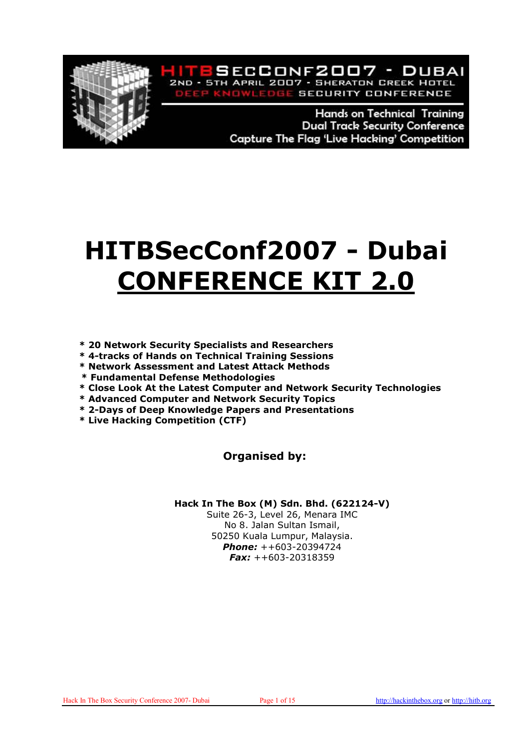

**Hands on Technical Training Dual Track Security Conference** Capture The Flag 'Live Hacking' Competition

VLEDGE SECURITY CONFERENCE

ITESECCONF2007 - DUBAI 2ND - 5TH APRIL 2007 - SHERATON CREEK HOTEL

# HITBSecConf2007 - Dubai CONFERENCE KIT 2.0

- \* 20 Network Security Specialists and Researchers
- \* 4-tracks of Hands on Technical Training Sessions
- \* Network Assessment and Latest Attack Methods
- \* Fundamental Defense Methodologies
- \* Close Look At the Latest Computer and Network Security Technologies
- \* Advanced Computer and Network Security Topics
- \* 2-Days of Deep Knowledge Papers and Presentations
- \* Live Hacking Competition (CTF)

#### Organised by:

#### Hack In The Box (M) Sdn. Bhd. (622124-V)

Suite 26-3, Level 26, Menara IMC No 8. Jalan Sultan Ismail, 50250 Kuala Lumpur, Malaysia. Phone: ++603-20394724 **Fax:**  $++603-20318359$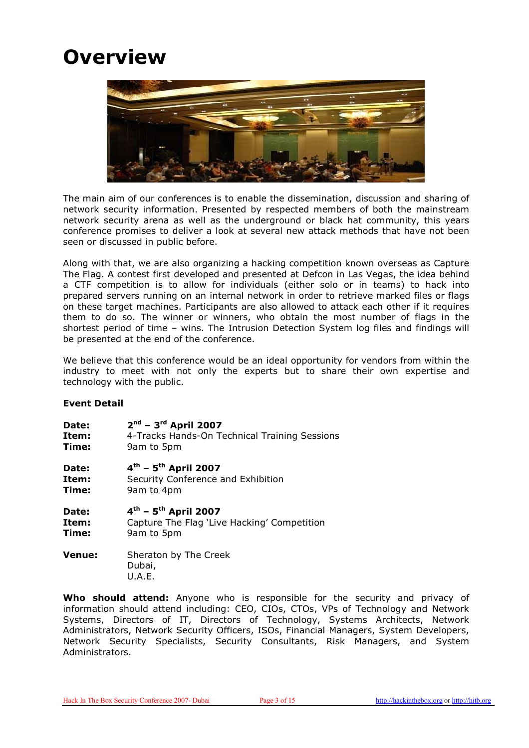### **Overview**



The main aim of our conferences is to enable the dissemination, discussion and sharing of network security information. Presented by respected members of both the mainstream network security arena as well as the underground or black hat community, this years conference promises to deliver a look at several new attack methods that have not been seen or discussed in public before.

Along with that, we are also organizing a hacking competition known overseas as Capture The Flag. A contest first developed and presented at Defcon in Las Vegas, the idea behind a CTF competition is to allow for individuals (either solo or in teams) to hack into prepared servers running on an internal network in order to retrieve marked files or flags on these target machines. Participants are also allowed to attack each other if it requires them to do so. The winner or winners, who obtain the most number of flags in the shortest period of time – wins. The Intrusion Detection System log files and findings will be presented at the end of the conference.

We believe that this conference would be an ideal opportunity for vendors from within the industry to meet with not only the experts but to share their own expertise and technology with the public.

#### Event Detail

| Date: | $2^{nd}$ – 3 <sup>rd</sup> April 2007         |
|-------|-----------------------------------------------|
| Item: | 4-Tracks Hands-On Technical Training Sessions |
| Time: | 9am to 5pm                                    |
| Date: | $4^{th}$ – 5 <sup>th</sup> April 2007         |
| Item: | Security Conference and Exhibition            |
| Time: | 9am to 4pm                                    |
| Date: | $4^{th}$ – 5 <sup>th</sup> April 2007         |
|       |                                               |

**Item:** Capture The Flag 'Live Hacking' Competition **Time:** 9am to 5pm

**Venue:** Sheraton by The Creek Dubai, U.A.E.

Who should attend: Anyone who is responsible for the security and privacy of information should attend including: CEO, CIOs, CTOs, VPs of Technology and Network Systems, Directors of IT, Directors of Technology, Systems Architects, Network Administrators, Network Security Officers, ISOs, Financial Managers, System Developers, Network Security Specialists, Security Consultants, Risk Managers, and System Administrators.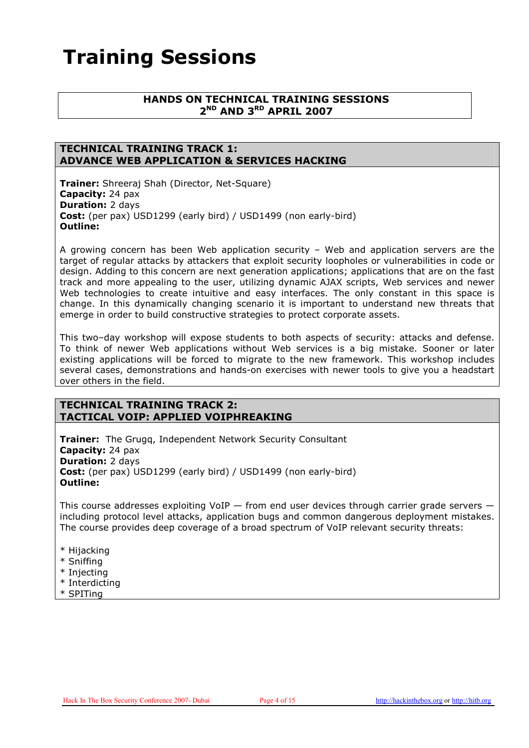### Training Sessions

#### HANDS ON TECHNICAL TRAINING SESSIONS 2<sup>ND</sup> AND 3<sup>RD</sup> APRIL 2007

#### TECHNICAL TRAINING TRACK 1: ADVANCE WEB APPLICATION & SERVICES HACKING

Trainer: Shreeraj Shah (Director, Net-Square) Capacity: 24 pax Duration: 2 days Cost: (per pax) USD1299 (early bird) / USD1499 (non early-bird) Outline:

A growing concern has been Web application security – Web and application servers are the target of regular attacks by attackers that exploit security loopholes or vulnerabilities in code or design. Adding to this concern are next generation applications; applications that are on the fast track and more appealing to the user, utilizing dynamic AJAX scripts, Web services and newer Web technologies to create intuitive and easy interfaces. The only constant in this space is change. In this dynamically changing scenario it is important to understand new threats that emerge in order to build constructive strategies to protect corporate assets.

This two–day workshop will expose students to both aspects of security: attacks and defense. To think of newer Web applications without Web services is a big mistake. Sooner or later existing applications will be forced to migrate to the new framework. This workshop includes several cases, demonstrations and hands-on exercises with newer tools to give you a headstart over others in the field.

#### TECHNICAL TRAINING TRACK 2: TACTICAL VOIP: APPLIED VOIPHREAKING

**Trainer:** The Grugq, Independent Network Security Consultant Capacity: 24 pax Duration: 2 days Cost: (per pax) USD1299 (early bird) / USD1499 (non early-bird) Outline:

This course addresses exploiting VoIP  $-$  from end user devices through carrier grade servers  $$ including protocol level attacks, application bugs and common dangerous deployment mistakes. The course provides deep coverage of a broad spectrum of VoIP relevant security threats:

- \* Hijacking
- \* Sniffing
- \* Injecting
- \* Interdicting
- \* SPITing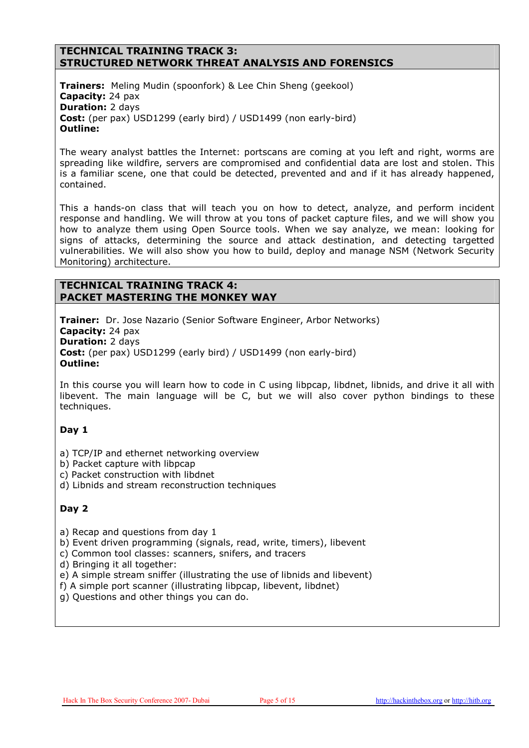#### TECHNICAL TRAINING TRACK 3: STRUCTURED NETWORK THREAT ANALYSIS AND FORENSICS

**Trainers:** Meling Mudin (spoonfork) & Lee Chin Sheng (geekool) Capacity: 24 pax **Duration: 2 days** Cost: (per pax) USD1299 (early bird) / USD1499 (non early-bird) Outline:

The weary analyst battles the Internet: portscans are coming at you left and right, worms are spreading like wildfire, servers are compromised and confidential data are lost and stolen. This is a familiar scene, one that could be detected, prevented and and if it has already happened, contained.

This a hands-on class that will teach you on how to detect, analyze, and perform incident response and handling. We will throw at you tons of packet capture files, and we will show you how to analyze them using Open Source tools. When we say analyze, we mean: looking for signs of attacks, determining the source and attack destination, and detecting targetted vulnerabilities. We will also show you how to build, deploy and manage NSM (Network Security Monitoring) architecture.

#### TECHNICAL TRAINING TRACK 4: PACKET MASTERING THE MONKEY WAY

**Trainer:** Dr. Jose Nazario (Senior Software Engineer, Arbor Networks) Capacity: 24 pax Duration: 2 days Cost: (per pax) USD1299 (early bird) / USD1499 (non early-bird) Outline:

In this course you will learn how to code in C using libpcap, libdnet, libnids, and drive it all with libevent. The main language will be C, but we will also cover python bindings to these techniques.

#### Day 1

- a) TCP/IP and ethernet networking overview
- b) Packet capture with libpcap
- c) Packet construction with libdnet
- d) Libnids and stream reconstruction techniques

#### Day 2

a) Recap and questions from day 1

b) Event driven programming (signals, read, write, timers), libevent

c) Common tool classes: scanners, snifers, and tracers

d) Bringing it all together:

e) A simple stream sniffer (illustrating the use of libnids and libevent)

f) A simple port scanner (illustrating libpcap, libevent, libdnet)

g) Questions and other things you can do.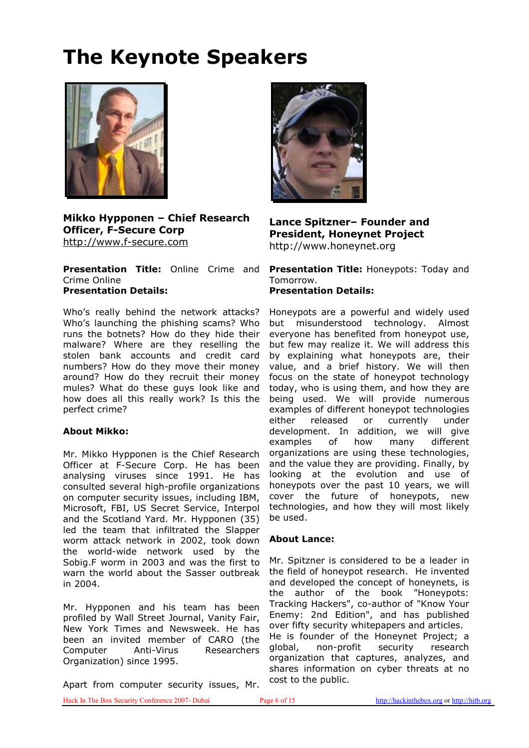## The Keynote Speakers



Mikko Hypponen – Chief Research Officer, F-Secure Corp http://www.f-secure.com

Crime Online Presentation Details:

Who's really behind the network attacks? Who's launching the phishing scams? Who runs the botnets? How do they hide their malware? Where are they reselling the stolen bank accounts and credit card numbers? How do they move their money around? How do they recruit their money mules? What do these guys look like and how does all this really work? Is this the perfect crime?

#### About Mikko:

Mr. Mikko Hypponen is the Chief Research Officer at F-Secure Corp. He has been analysing viruses since 1991. He has consulted several high-profile organizations on computer security issues, including IBM, Microsoft, FBI, US Secret Service, Interpol and the Scotland Yard. Mr. Hypponen (35) led the team that infiltrated the Slapper worm attack network in 2002, took down the world-wide network used by the Sobig.F worm in 2003 and was the first to warn the world about the Sasser outbreak in 2004.

Mr. Hypponen and his team has been profiled by Wall Street Journal, Vanity Fair, New York Times and Newsweek. He has been an invited member of CARO (the Computer Anti-Virus Researchers Organization) since 1995.

Apart from computer security issues, Mr.



#### Lance Spitzner– Founder and President, Honeynet Project http://www.honeynet.org

**Presentation Title:** Online Crime and **Presentation Title:** Honeypots: Today and Tomorrow. Presentation Details:

> Honeypots are a powerful and widely used but misunderstood technology. Almost everyone has benefited from honeypot use, but few may realize it. We will address this by explaining what honeypots are, their value, and a brief history. We will then focus on the state of honeypot technology today, who is using them, and how they are being used. We will provide numerous examples of different honeypot technologies either released or currently under development. In addition, we will give examples of how many different organizations are using these technologies, and the value they are providing. Finally, by looking at the evolution and use of honeypots over the past 10 years, we will cover the future of honeypots, new technologies, and how they will most likely be used.

#### About Lance:

Mr. Spitzner is considered to be a leader in the field of honeypot research. He invented and developed the concept of honeynets, is the author of the book "Honeypots: Tracking Hackers", co-author of "Know Your Enemy: 2nd Edition", and has published over fifty security whitepapers and articles. He is founder of the Honeynet Project; a global, non-profit security research organization that captures, analyzes, and shares information on cyber threats at no cost to the public.

Hack In The Box Security Conference 2007- Dubai Page 6 of 15 http://hackinthebox.org or http://hitb.org or http://hitb.org or http://hitb.org or http://hitb.org or http://hitb.org or http://hitb.org or http://hitb.org or h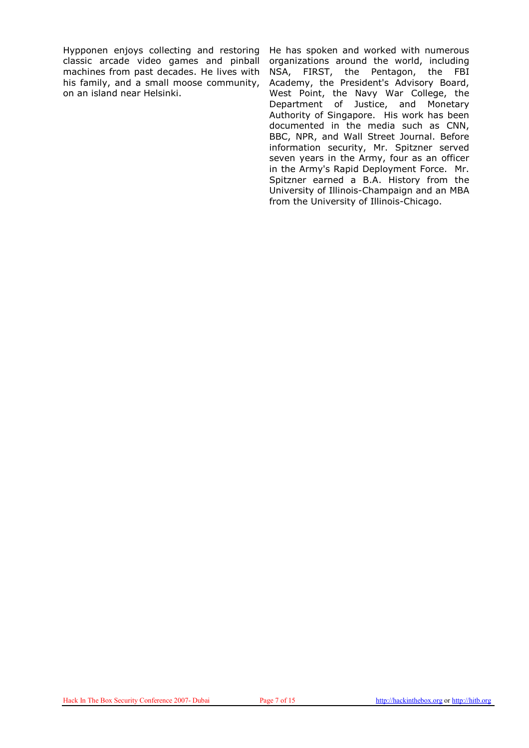Hypponen enjoys collecting and restoring classic arcade video games and pinball machines from past decades. He lives with his family, and a small moose community, on an island near Helsinki.

He has spoken and worked with numerous organizations around the world, including NSA, FIRST, the Pentagon, the FBI Academy, the President's Advisory Board, West Point, the Navy War College, the Department of Justice, and Monetary Authority of Singapore. His work has been documented in the media such as CNN, BBC, NPR, and Wall Street Journal. Before information security, Mr. Spitzner served seven years in the Army, four as an officer in the Army's Rapid Deployment Force. Mr. Spitzner earned a B.A. History from the University of Illinois-Champaign and an MBA from the University of Illinois-Chicago.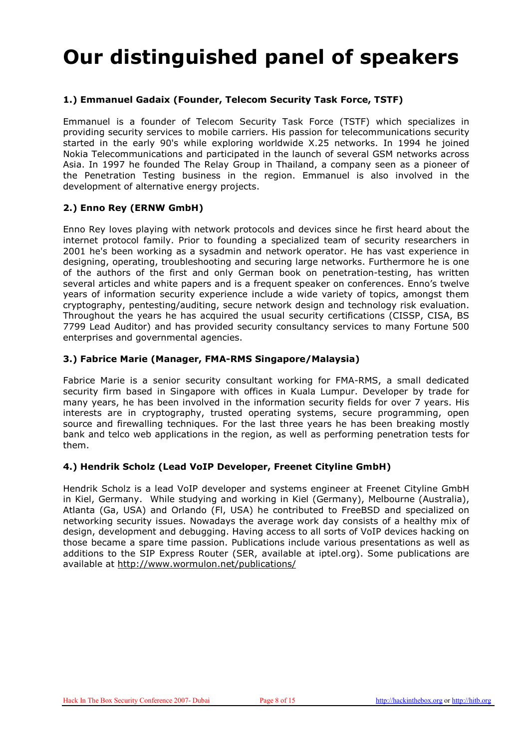### Our distinguished panel of speakers

#### 1.) Emmanuel Gadaix (Founder, Telecom Security Task Force, TSTF)

Emmanuel is a founder of Telecom Security Task Force (TSTF) which specializes in providing security services to mobile carriers. His passion for telecommunications security started in the early 90's while exploring worldwide X.25 networks. In 1994 he joined Nokia Telecommunications and participated in the launch of several GSM networks across Asia. In 1997 he founded The Relay Group in Thailand, a company seen as a pioneer of the Penetration Testing business in the region. Emmanuel is also involved in the development of alternative energy projects.

#### 2.) Enno Rey (ERNW GmbH)

Enno Rey loves playing with network protocols and devices since he first heard about the internet protocol family. Prior to founding a specialized team of security researchers in 2001 he's been working as a sysadmin and network operator. He has vast experience in designing, operating, troubleshooting and securing large networks. Furthermore he is one of the authors of the first and only German book on penetration-testing, has written several articles and white papers and is a frequent speaker on conferences. Enno's twelve years of information security experience include a wide variety of topics, amongst them cryptography, pentesting/auditing, secure network design and technology risk evaluation. Throughout the years he has acquired the usual security certifications (CISSP, CISA, BS 7799 Lead Auditor) and has provided security consultancy services to many Fortune 500 enterprises and governmental agencies.

#### 3.) Fabrice Marie (Manager, FMA-RMS Singapore/Malaysia)

Fabrice Marie is a senior security consultant working for FMA-RMS, a small dedicated security firm based in Singapore with offices in Kuala Lumpur. Developer by trade for many years, he has been involved in the information security fields for over 7 years. His interests are in cryptography, trusted operating systems, secure programming, open source and firewalling techniques. For the last three years he has been breaking mostly bank and telco web applications in the region, as well as performing penetration tests for them.

#### 4.) Hendrik Scholz (Lead VoIP Developer, Freenet Cityline GmbH)

Hendrik Scholz is a lead VoIP developer and systems engineer at Freenet Cityline GmbH in Kiel, Germany. While studying and working in Kiel (Germany), Melbourne (Australia), Atlanta (Ga, USA) and Orlando (Fl, USA) he contributed to FreeBSD and specialized on networking security issues. Nowadays the average work day consists of a healthy mix of design, development and debugging. Having access to all sorts of VoIP devices hacking on those became a spare time passion. Publications include various presentations as well as additions to the SIP Express Router (SER, available at iptel.org). Some publications are available at http://www.wormulon.net/publications/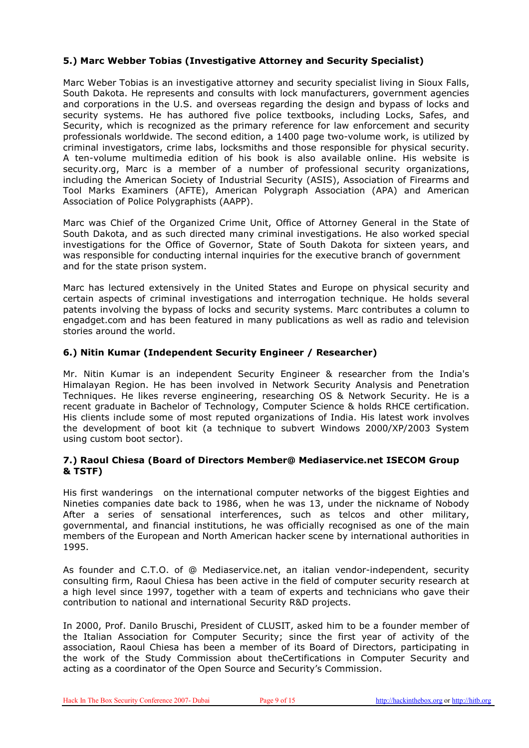#### 5.) Marc Webber Tobias (Investigative Attorney and Security Specialist)

Marc Weber Tobias is an investigative attorney and security specialist living in Sioux Falls, South Dakota. He represents and consults with lock manufacturers, government agencies and corporations in the U.S. and overseas regarding the design and bypass of locks and security systems. He has authored five police textbooks, including Locks, Safes, and Security, which is recognized as the primary reference for law enforcement and security professionals worldwide. The second edition, a 1400 page two-volume work, is utilized by criminal investigators, crime labs, locksmiths and those responsible for physical security. A ten-volume multimedia edition of his book is also available online. His website is security.org, Marc is a member of a number of professional security organizations, including the American Society of Industrial Security (ASIS), Association of Firearms and Tool Marks Examiners (AFTE), American Polygraph Association (APA) and American Association of Police Polygraphists (AAPP).

Marc was Chief of the Organized Crime Unit, Office of Attorney General in the State of South Dakota, and as such directed many criminal investigations. He also worked special investigations for the Office of Governor, State of South Dakota for sixteen years, and was responsible for conducting internal inquiries for the executive branch of government and for the state prison system.

Marc has lectured extensively in the United States and Europe on physical security and certain aspects of criminal investigations and interrogation technique. He holds several patents involving the bypass of locks and security systems. Marc contributes a column to engadget.com and has been featured in many publications as well as radio and television stories around the world.

#### 6.) Nitin Kumar (Independent Security Engineer / Researcher)

Mr. Nitin Kumar is an independent Security Engineer & researcher from the India's Himalayan Region. He has been involved in Network Security Analysis and Penetration Techniques. He likes reverse engineering, researching OS & Network Security. He is a recent graduate in Bachelor of Technology, Computer Science & holds RHCE certification. His clients include some of most reputed organizations of India. His latest work involves the development of boot kit (a technique to subvert Windows 2000/XP/2003 System using custom boot sector).

#### 7.) Raoul Chiesa (Board of Directors Member@ Mediaservice.net ISECOM Group & TSTF)

His first wanderings on the international computer networks of the biggest Eighties and Nineties companies date back to 1986, when he was 13, under the nickname of Nobody After a series of sensational interferences, such as telcos and other military, governmental, and financial institutions, he was officially recognised as one of the main members of the European and North American hacker scene by international authorities in 1995.

As founder and C.T.O. of @ Mediaservice.net, an italian vendor-independent, security consulting firm, Raoul Chiesa has been active in the field of computer security research at a high level since 1997, together with a team of experts and technicians who gave their contribution to national and international Security R&D projects.

In 2000, Prof. Danilo Bruschi, President of CLUSIT, asked him to be a founder member of the Italian Association for Computer Security; since the first year of activity of the association, Raoul Chiesa has been a member of its Board of Directors, participating in the work of the Study Commission about theCertifications in Computer Security and acting as a coordinator of the Open Source and Security's Commission.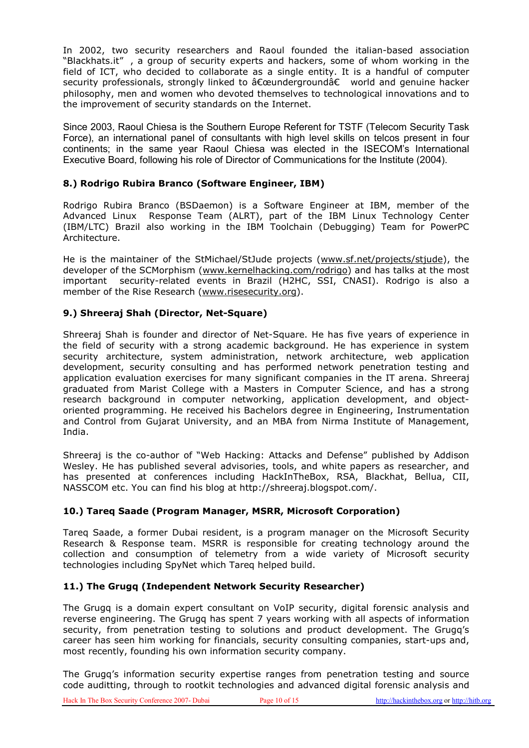In 2002, two security researchers and Raoul founded the italian-based association "Blackhats.it" , a group of security experts and hackers, some of whom working in the field of ICT, who decided to collaborate as a single entity. It is a handful of computer security professionals, strongly linked to "underground†world and genuine hacker philosophy, men and women who devoted themselves to technological innovations and to the improvement of security standards on the Internet.

Since 2003, Raoul Chiesa is the Southern Europe Referent for TSTF (Telecom Security Task Force), an international panel of consultants with high level skills on telcos present in four continents; in the same year Raoul Chiesa was elected in the ISECOM's International Executive Board, following his role of Director of Communications for the Institute (2004).

#### 8.) Rodrigo Rubira Branco (Software Engineer, IBM)

Rodrigo Rubira Branco (BSDaemon) is a Software Engineer at IBM, member of the Advanced Linux Response Team (ALRT), part of the IBM Linux Technology Center (IBM/LTC) Brazil also working in the IBM Toolchain (Debugging) Team for PowerPC Architecture.

He is the maintainer of the StMichael/StJude projects (www.sf.net/projects/stjude), the developer of the SCMorphism (www.kernelhacking.com/rodrigo) and has talks at the most important security-related events in Brazil (H2HC, SSI, CNASI). Rodrigo is also a member of the Rise Research (www.risesecurity.org).

#### 9.) Shreeraj Shah (Director, Net-Square)

Shreeraj Shah is founder and director of Net-Square. He has five years of experience in the field of security with a strong academic background. He has experience in system security architecture, system administration, network architecture, web application development, security consulting and has performed network penetration testing and application evaluation exercises for many significant companies in the IT arena. Shreeraj graduated from Marist College with a Masters in Computer Science, and has a strong research background in computer networking, application development, and objectoriented programming. He received his Bachelors degree in Engineering, Instrumentation and Control from Gujarat University, and an MBA from Nirma Institute of Management, India.

Shreeraj is the co-author of "Web Hacking: Attacks and Defense" published by Addison Wesley. He has published several advisories, tools, and white papers as researcher, and has presented at conferences including HackInTheBox, RSA, Blackhat, Bellua, CII, NASSCOM etc. You can find his blog at http://shreeraj.blogspot.com/.

#### 10.) Tareq Saade (Program Manager, MSRR, Microsoft Corporation)

Tareq Saade, a former Dubai resident, is a program manager on the Microsoft Security Research & Response team. MSRR is responsible for creating technology around the collection and consumption of telemetry from a wide variety of Microsoft security technologies including SpyNet which Tareq helped build.

#### 11.) The Grugq (Independent Network Security Researcher)

The Grugq is a domain expert consultant on VoIP security, digital forensic analysis and reverse engineering. The Grugq has spent 7 years working with all aspects of information security, from penetration testing to solutions and product development. The Grugq's career has seen him working for financials, security consulting companies, start-ups and, most recently, founding his own information security company.

The Grugq's information security expertise ranges from penetration testing and source code auditting, through to rootkit technologies and advanced digital forensic analysis and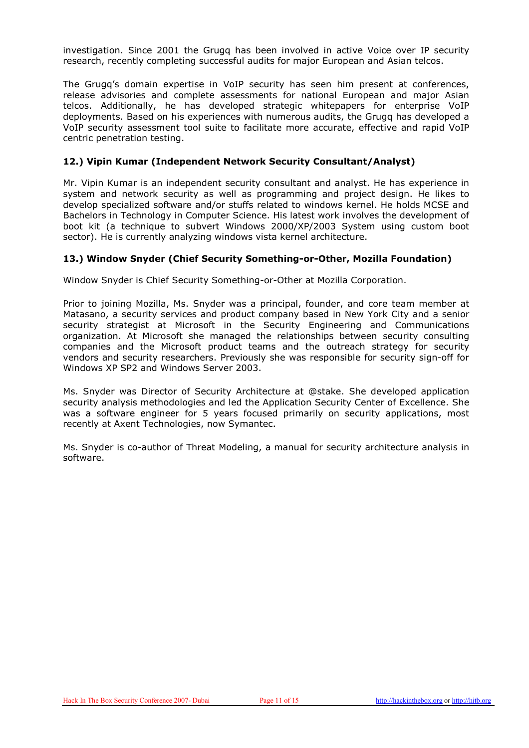investigation. Since 2001 the Grugq has been involved in active Voice over IP security research, recently completing successful audits for major European and Asian telcos.

The Grugq's domain expertise in VoIP security has seen him present at conferences, release advisories and complete assessments for national European and major Asian telcos. Additionally, he has developed strategic whitepapers for enterprise VoIP deployments. Based on his experiences with numerous audits, the Grugq has developed a VoIP security assessment tool suite to facilitate more accurate, effective and rapid VoIP centric penetration testing.

#### 12.) Vipin Kumar (Independent Network Security Consultant/Analyst)

Mr. Vipin Kumar is an independent security consultant and analyst. He has experience in system and network security as well as programming and project design. He likes to develop specialized software and/or stuffs related to windows kernel. He holds MCSE and Bachelors in Technology in Computer Science. His latest work involves the development of boot kit (a technique to subvert Windows 2000/XP/2003 System using custom boot sector). He is currently analyzing windows vista kernel architecture.

#### 13.) Window Snyder (Chief Security Something-or-Other, Mozilla Foundation)

Window Snyder is Chief Security Something-or-Other at Mozilla Corporation.

Prior to joining Mozilla, Ms. Snyder was a principal, founder, and core team member at Matasano, a security services and product company based in New York City and a senior security strategist at Microsoft in the Security Engineering and Communications organization. At Microsoft she managed the relationships between security consulting companies and the Microsoft product teams and the outreach strategy for security vendors and security researchers. Previously she was responsible for security sign-off for Windows XP SP2 and Windows Server 2003.

Ms. Snyder was Director of Security Architecture at @stake. She developed application security analysis methodologies and led the Application Security Center of Excellence. She was a software engineer for 5 years focused primarily on security applications, most recently at Axent Technologies, now Symantec.

Ms. Snyder is co-author of Threat Modeling, a manual for security architecture analysis in software.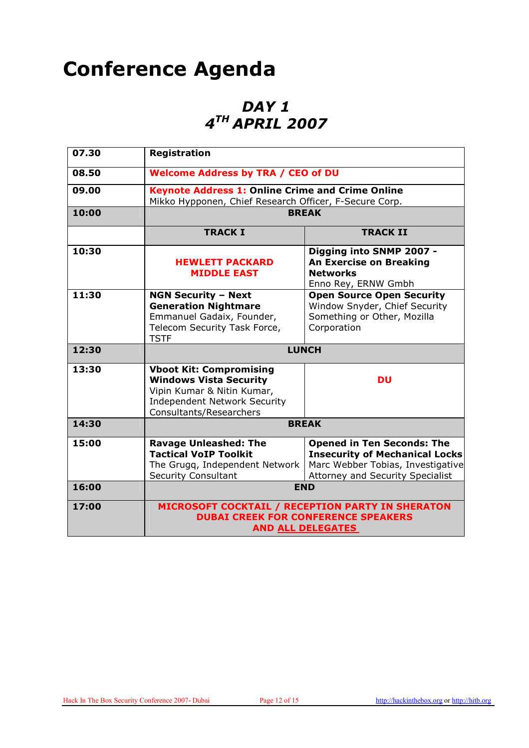### Conference Agenda

### DAY 1 4 TH APRIL 2007

| 07.30 | <b>Registration</b>                                                                                                                                             |                                                                                                                                                     |
|-------|-----------------------------------------------------------------------------------------------------------------------------------------------------------------|-----------------------------------------------------------------------------------------------------------------------------------------------------|
| 08.50 | <b>Welcome Address by TRA / CEO of DU</b>                                                                                                                       |                                                                                                                                                     |
| 09.00 | <b>Keynote Address 1: Online Crime and Crime Online</b><br>Mikko Hypponen, Chief Research Officer, F-Secure Corp.                                               |                                                                                                                                                     |
| 10:00 | <b>BREAK</b>                                                                                                                                                    |                                                                                                                                                     |
|       | <b>TRACK I</b>                                                                                                                                                  | <b>TRACK II</b>                                                                                                                                     |
| 10:30 | <b>HEWLETT PACKARD</b><br><b>MIDDLE EAST</b>                                                                                                                    | Digging into SNMP 2007 -<br><b>An Exercise on Breaking</b><br><b>Networks</b><br>Enno Rey, ERNW Gmbh                                                |
| 11:30 | <b>NGN Security - Next</b><br><b>Generation Nightmare</b><br>Emmanuel Gadaix, Founder,<br>Telecom Security Task Force,<br><b>TSTF</b>                           | <b>Open Source Open Security</b><br>Window Snyder, Chief Security<br>Something or Other, Mozilla<br>Corporation                                     |
| 12:30 | <b>LUNCH</b>                                                                                                                                                    |                                                                                                                                                     |
| 13:30 | <b>Vboot Kit: Compromising</b><br><b>Windows Vista Security</b><br>Vipin Kumar & Nitin Kumar,<br><b>Independent Network Security</b><br>Consultants/Researchers | <b>DU</b>                                                                                                                                           |
| 14:30 | <b>BREAK</b>                                                                                                                                                    |                                                                                                                                                     |
| 15:00 | <b>Ravage Unleashed: The</b><br><b>Tactical VoIP Toolkit</b><br>The Grugq, Independent Network<br><b>Security Consultant</b>                                    | <b>Opened in Ten Seconds: The</b><br><b>Insecurity of Mechanical Locks</b><br>Marc Webber Tobias, Investigative<br>Attorney and Security Specialist |
| 16:00 | <b>END</b>                                                                                                                                                      |                                                                                                                                                     |
| 17:00 | MICROSOFT COCKTAIL / RECEPTION PARTY IN SHERATON<br><b>DUBAI CREEK FOR CONFERENCE SPEAKERS</b><br><b>AND ALL DELEGATES</b>                                      |                                                                                                                                                     |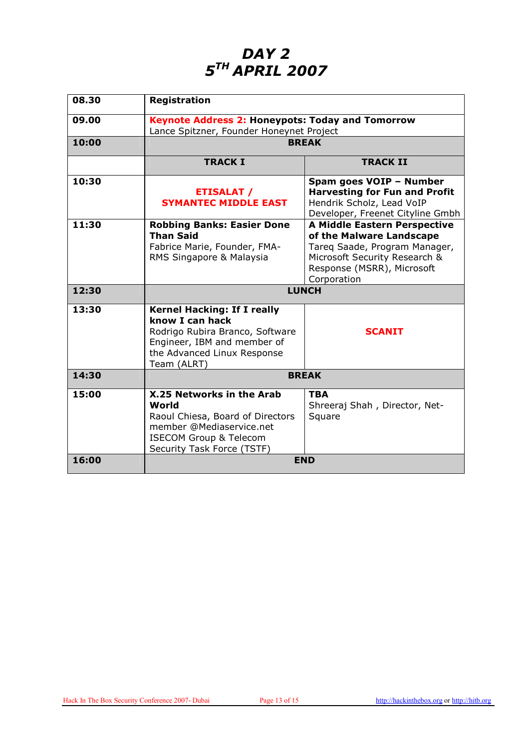### DAY<sub>2</sub> 5<sup>th</sup> APRIL 2007

| 08.30 | <b>Registration</b>                                                                                                                                                   |                                                                                                                                                                         |
|-------|-----------------------------------------------------------------------------------------------------------------------------------------------------------------------|-------------------------------------------------------------------------------------------------------------------------------------------------------------------------|
| 09.00 | <b>Keynote Address 2: Honeypots: Today and Tomorrow</b><br>Lance Spitzner, Founder Honeynet Project                                                                   |                                                                                                                                                                         |
| 10:00 | <b>BREAK</b>                                                                                                                                                          |                                                                                                                                                                         |
|       | <b>TRACK I</b>                                                                                                                                                        | <b>TRACK II</b>                                                                                                                                                         |
| 10:30 | <b>ETISALAT /</b><br><b>SYMANTEC MIDDLE EAST</b>                                                                                                                      | Spam goes VOIP - Number<br><b>Harvesting for Fun and Profit</b><br>Hendrik Scholz, Lead VoIP<br>Developer, Freenet Cityline Gmbh                                        |
| 11:30 | <b>Robbing Banks: Easier Done</b><br><b>Than Said</b><br>Fabrice Marie, Founder, FMA-<br>RMS Singapore & Malaysia                                                     | A Middle Eastern Perspective<br>of the Malware Landscape<br>Tareg Saade, Program Manager,<br>Microsoft Security Research &<br>Response (MSRR), Microsoft<br>Corporation |
| 12:30 | <b>LUNCH</b>                                                                                                                                                          |                                                                                                                                                                         |
| 13:30 | <b>Kernel Hacking: If I really</b><br>know I can hack<br>Rodrigo Rubira Branco, Software<br>Engineer, IBM and member of<br>the Advanced Linux Response<br>Team (ALRT) | <b>SCANIT</b>                                                                                                                                                           |
| 14:30 | <b>BREAK</b>                                                                                                                                                          |                                                                                                                                                                         |
| 15:00 | X.25 Networks in the Arab<br>World<br>Raoul Chiesa, Board of Directors<br>member @Mediaservice.net<br><b>ISECOM Group &amp; Telecom</b><br>Security Task Force (TSTF) | <b>TBA</b><br>Shreeraj Shah, Director, Net-<br>Square                                                                                                                   |
| 16:00 | <b>END</b>                                                                                                                                                            |                                                                                                                                                                         |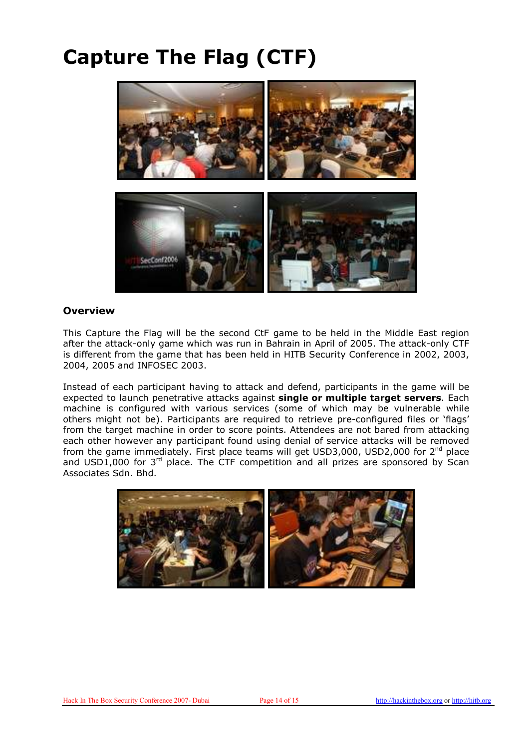## Capture The Flag (CTF)



#### **Overview**

This Capture the Flag will be the second CtF game to be held in the Middle East region after the attack-only game which was run in Bahrain in April of 2005. The attack-only CTF is different from the game that has been held in HITB Security Conference in 2002, 2003, 2004, 2005 and INFOSEC 2003.

Instead of each participant having to attack and defend, participants in the game will be expected to launch penetrative attacks against single or multiple target servers. Each machine is configured with various services (some of which may be vulnerable while others might not be). Participants are required to retrieve pre-configured files or 'flags' from the target machine in order to score points. Attendees are not bared from attacking each other however any participant found using denial of service attacks will be removed from the game immediately. First place teams will get USD3,000, USD2,000 for 2<sup>nd</sup> place and USD1,000 for 3<sup>rd</sup> place. The CTF competition and all prizes are sponsored by Scan Associates Sdn. Bhd.